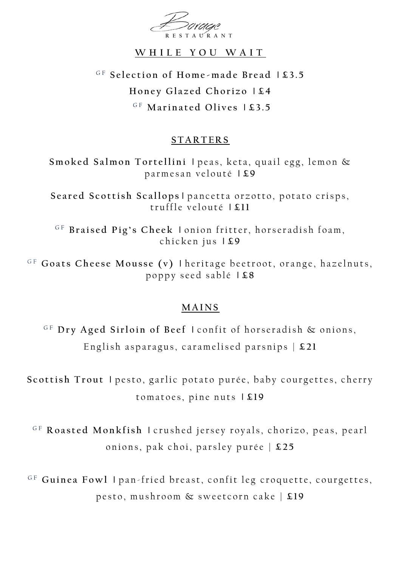

## **W H I L E Y O U W A I T**

G F **S e l e c t i o n o f H o m e -m a d e B r e a d** ׀ **£ 3 . 5** Honey Glazed Chorizo 1£4 G F **M a r i n a t e d O l i v e s** ׀ **£ 3 . 5**

## **S T A R T E R S**

Smoked Salmon Tortellini I peas, keta, quail egg, lemon & parmesan velouté | £9

Seared Scottish Scallops *pancetta orzotto*, potato crisps, truffle velouté | £11

GF Braised Pig's Cheek I onion fritter, horseradish foam, chicken jus  $1$ **£9** 

<sup>GF</sup> Goats Cheese Mousse (v) I heritage beetroot, orange, hazelnuts, p o p p y s e e d s a b l é ׀ **£ 8**

## **MA I N S**

GF Dry Aged Sirloin of Beef I confit of horseradish & onions, English asparagus, caramelised parsnips |  $$21$ 

Scottish Trout *I pesto*, garlic potato purée, baby courgettes, cherry tomatoes, pine nuts | £19

GF Roasted Monkfish I crushed jersey royals, chorizo, peas, pearl o n i o n s , p a k c h o i , p a r s l e y p u r é e | **£ 2 5**

GF Guinea Fowl I pan-fried breast, confit leg croquette, courgettes, pesto, mushroom & sweetcorn cake | £19